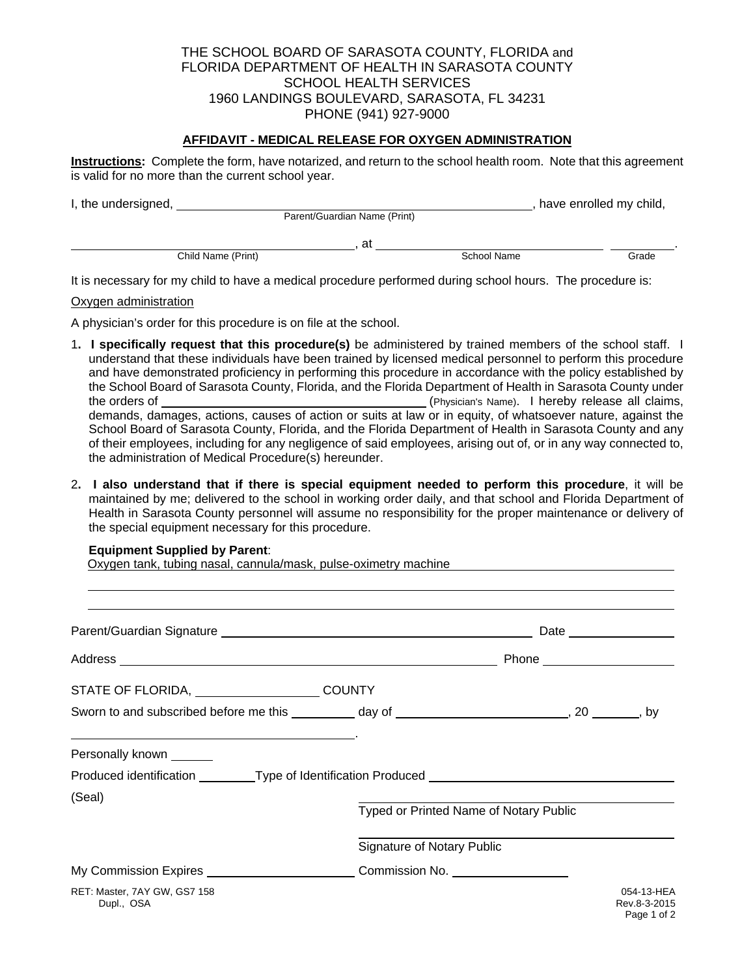### THE SCHOOL BOARD OF SARASOTA COUNTY, FLORIDA and FLORIDA DEPARTMENT OF HEALTH IN SARASOTA COUNTY SCHOOL HEALTH SERVICES 1960 LANDINGS BOULEVARD, SARASOTA, FL 34231 PHONE (941) 927-9000

### **AFFIDAVIT - MEDICAL RELEASE FOR OXYGEN ADMINISTRATION**

**Instructions:** Complete the form, have notarized, and return to the school health room. Note that this agreement is valid for no more than the current school year.

| I, the undersigned, |                              |    |             | have enrolled my child, |       |
|---------------------|------------------------------|----|-------------|-------------------------|-------|
|                     | Parent/Guardian Name (Print) |    |             |                         |       |
|                     |                              | at |             |                         |       |
|                     | Child Name (Print)           |    | School Name |                         | Grade |

It is necessary for my child to have a medical procedure performed during school hours. The procedure is:

#### Oxygen administration

A physician's order for this procedure is on file at the school.

- 1**. I specifically request that this procedure(s)** be administered by trained members of the school staff. I understand that these individuals have been trained by licensed medical personnel to perform this procedure and have demonstrated proficiency in performing this procedure in accordance with the policy established by the School Board of Sarasota County, Florida, and the Florida Department of Health in Sarasota County under the orders of (Physician's Name). I hereby release all claims, demands, damages, actions, causes of action or suits at law or in equity, of whatsoever nature, against the School Board of Sarasota County, Florida, and the Florida Department of Health in Sarasota County and any of their employees, including for any negligence of said employees, arising out of, or in any way connected to, the administration of Medical Procedure(s) hereunder.
- 2**. I also understand that if there is special equipment needed to perform this procedure**, it will be maintained by me; delivered to the school in working order daily, and that school and Florida Department of Health in Sarasota County personnel will assume no responsibility for the proper maintenance or delivery of the special equipment necessary for this procedure.

#### **Equipment Supplied by Parent**:

 $\overline{a}$ 

Oxygen tank, tubing nasal, cannula/mask, pulse-oximetry machine

|                                                                                                                                                                                                                                                          |                            | Phone _______________________          |                                              |  |  |
|----------------------------------------------------------------------------------------------------------------------------------------------------------------------------------------------------------------------------------------------------------|----------------------------|----------------------------------------|----------------------------------------------|--|--|
| STATE OF FLORIDA, __________________________COUNTY                                                                                                                                                                                                       |                            |                                        |                                              |  |  |
| Sworn to and subscribed before me this __________ day of ________________________, 20 _______, by                                                                                                                                                        |                            |                                        |                                              |  |  |
| the control of the control of the control of the control of the control of the control of the control of the control of the control of the control of the control of the control of the control of the control of the control<br>Personally known ______ |                            |                                        |                                              |  |  |
| Produced identification _________Type of Identification Produced ___________________________________                                                                                                                                                     |                            |                                        |                                              |  |  |
| (Seal)                                                                                                                                                                                                                                                   |                            | Typed or Printed Name of Notary Public |                                              |  |  |
|                                                                                                                                                                                                                                                          | Signature of Notary Public |                                        |                                              |  |  |
| My Commission Expires _____________________________Commission No. ______________                                                                                                                                                                         |                            |                                        |                                              |  |  |
| RET: Master, 7AY GW, GS7 158<br>Dupl., OSA                                                                                                                                                                                                               |                            |                                        | 054-13-HEA<br>Rev.8-3-2015<br>$P2$ ne 1 of 2 |  |  |